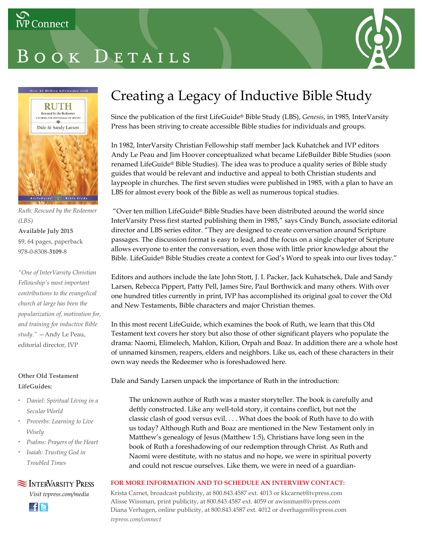# BOOK DETAILS





*Ruth: Rescued by the Redeemer (LBS)*

### **Available July 2015** \$9, 64 pages, paperback 978-0-8308-**3109**-8

*"One of InterVarsity Christian Fellowship's most important contributions to the evangelical church at large has been the popularization of, motivation for, and training for inductive Bible study."* —Andy Le Peau, editorial director, IVP

### **Other Old Testament LifeGuides:**

- *Daniel: Spiritual Living in a Secular World*
- *Proverbs: Learning to Live Wisely*
- *Psalms: Prayers of the Heart*
- *Isaiah: Trusting God in Troubled Times*

### **SEX INTERVARSITY PRESS**

*Visit ivpress.com/media*



## Creating a Legacy of Inductive Bible Study

Since the publication of the first LifeGuide® Bible Study (LBS), *Genesis*, in 1985*,* InterVarsity Press has been striving to create accessible Bible studies for individuals and groups.

In 1982, InterVarsity Christian Fellowship staff member Jack Kuhatchek and IVP editors Andy Le Peau and Jim Hoover conceptualized what became LifeBuilder Bible Studies (soon renamed LifeGuide® Bible Studies). The idea was to produce a quality series of Bible study guides that would be relevant and inductive and appeal to both Christian students and laypeople in churches. The first seven studies were published in 1985, with a plan to have an LBS for almost every book of the Bible as well as numerous topical studies.

"Over ten million LifeGuide® Bible Studies have been distributed around the world since InterVarsity Press first started publishing them in 1985," says Cindy Bunch, associate editorial director and LBS series editor. "They are designed to create conversation around Scripture passages. The discussion format is easy to lead, and the focus on a single chapter of Scripture allows everyone to enter the conversation, even those with little prior knowledge about the Bible. LifeGuide® Bible Studies create a context for God's Word to speak into our lives today."

Editors and authors include the late John Stott, J. I. Packer, Jack Kuhatschek, Dale and Sandy Larsen, Rebecca Pippert, Patty Pell, James Sire, Paul Borthwick and many others. With over one hundred titles currently in print, IVP has accomplished its original goal to cover the Old and New Testaments, Bible characters and major Christian themes.

In this most recent LifeGuide, which examines the book of Ruth, we learn that this Old Testament text covers her story but also those of other significant players who populate the drama: Naomi, Elimelech, Mahlon, Kilion, Orpah and Boaz. In addition there are a whole host of unnamed kinsmen, reapers, elders and neighbors. Like us, each of these characters in their own way needs the Redeemer who is foreshadowed here.

Dale and Sandy Larsen unpack the importance of Ruth in the introduction:

The unknown author of Ruth was a master storyteller. The book is carefully and deftly constructed. Like any well-told story, it contains conflict, but not the classic clash of good versus evil. . . . What does the book of Ruth have to do with us today? Although Ruth and Boaz are mentioned in the New Testament only in Matthew's genealogy of Jesus (Matthew 1:5), Christians have long seen in the book of Ruth a foreshadowing of our redemption through Christ. As Ruth and Naomi were destitute, with no status and no hope, we were in spiritual poverty and could not rescue ourselves. Like them, we were in need of a guardian-

### **FOR MORE INFORMATION AND TO SCHEDULE AN INTERVIEW CONTACT:**

Krista Carnet, broadcast publicity, at 800.843.4587 ext. 4013 or kkcarnet@ivpress.com Alisse Wissman, print publicity, at 800.843.4587 ext. 4059 or awissman@ivpress.com Diana Verhagen, online publicity, at 800.843.4587 ext. 4012 or dverhagen@ivpress.com *ivpress.com/connect*